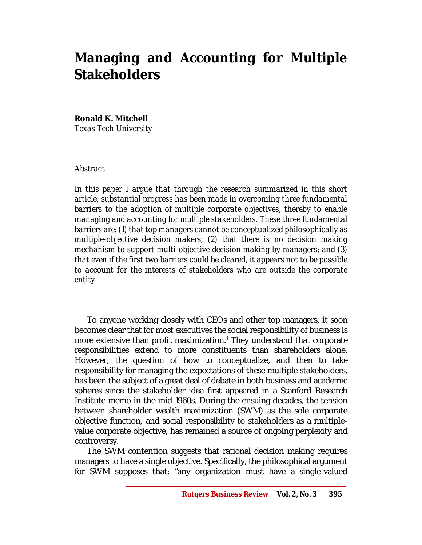# **Managing and Accounting for Multiple Stakeholders**

## **Ronald K. Mitchell**

*Texas Tech University*

## *Abstract*

In this paper I argue that through the research summarized in this short *article, substantial progress has been made in overcoming three fundamental barriers to the adoption of multiple corporate objectives, thereby to enable managing and accounting for multiple stakeholders. These three fundamental barriers are: (1) that top managers cannot be conceptualized philosophically as multiple-objective decision makers; (2) that there is no decision making mechanism to support multi-objective decision making by managers; and (3) that even if the first two barriers could be cleared, it appears not to be possible to account for the interests of stakeholders who are outside the corporate entity.*

To anyone working closely with CEOs and other top managers, it soon becomes clear that for most executives the social responsibility of business is more extensive than profit maximization.<sup>1</sup> They understand that corporate responsibilities extend to more constituents than shareholders alone. However, the question of how to conceptualize, and then to take responsibility for managing the expectations of these multiple stakeholders, has been the subject of a great deal of debate in both business and academic spheres since the stakeholder idea first appeared in a Stanford Research Institute memo in the mid-1960s. During the ensuing decades, the tension between shareholder wealth maximization (SWM) as the sole corporate objective function, and social responsibility to stakeholders as a multiplevalue corporate objective, has remained a source of ongoing perplexity and controversy.

The SWM contention suggests that rational decision making requires managers to have a single objective. Specifically, the philosophical argument for SWM supposes that: "any organization must have a single-valued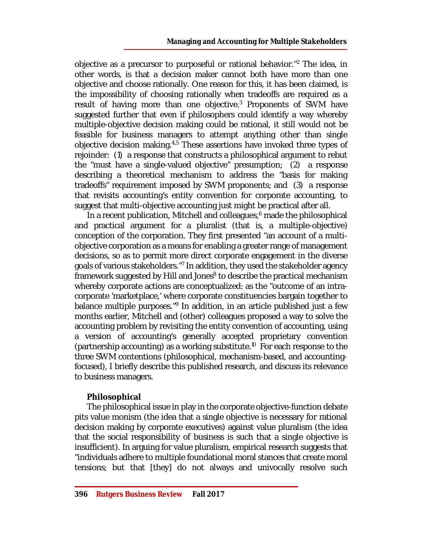objective as a precursor to purposeful or rational behavior."<sup>2</sup> The idea, in other words, is that a decision maker cannot both have more than one objective and choose rationally. One reason for this, it has been claimed, is the impossibility of choosing rationally when tradeoffs are required as a result of having more than one objective.<sup>3</sup> Proponents of SWM have suggested further that even if philosophers could identify a way whereby multiple-objective decision making could be rational, it still would not be feasible for business managers to attempt anything other than single objective decision making.<sup>4,5</sup> These assertions have invoked three types of rejoinder: (1) a response that constructs a philosophical argument to rebut the "must have a single-valued objective" presumption; (2) a response describing a theoretical mechanism to address the "basis for making tradeoffs" requirement imposed by SWM proponents; and (3) a response that revisits accounting's entity convention for corporate accounting, to suggest that multi-objective accounting just might be practical after all.

In a recent publication, Mitchell and colleagues, $6$  made the philosophical and practical argument for a pluralist (that is, a multiple-objective) conception of the corporation. They first presented "an account of a multiobjective corporation as a means for enabling a greater range of management decisions, so as to permit more direct corporate engagement in the diverse goals of various stakeholders."<sup>7</sup> In addition, they used the stakeholder agency framework suggested by Hill and Jones<sup>8</sup> to describe the practical mechanism whereby corporate actions are conceptualized: as the "outcome of an intracorporate 'marketplace,' where corporate constituencies bargain together to balance multiple purposes."<sup>9</sup> In addition, in an article published just a few months earlier, Mitchell and (other) colleagues proposed a way to solve the accounting problem by revisiting the entity convention of accounting, using a version of accounting's generally accepted proprietary convention (partnership accounting) as a working substitute.<sup>10</sup> For each response to the three SWM contentions (philosophical, mechanism-based, and accountingfocused), I briefly describe this published research, and discuss its relevance to business managers.

## **Philosophical**

The philosophical issue in play in the corporate objective-function debate pits value monism (the idea that a single objective is necessary for rational decision making by corporate executives) against value pluralism (the idea that the social responsibility of business is such that a single objective is insufficient). In arguing for value pluralism, empirical research suggests that "individuals adhere to multiple foundational moral stances that create moral tensions; but that [they] do not always and univocally resolve such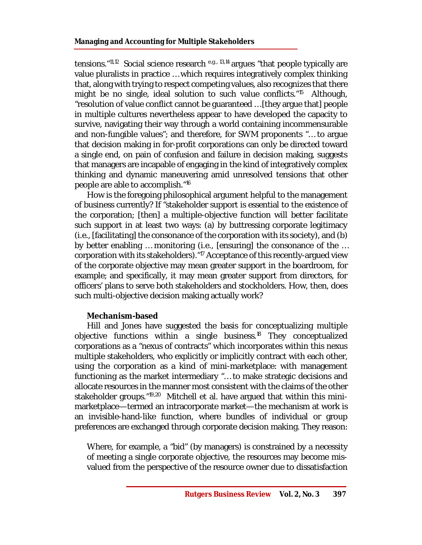tensions."<sup>11,12</sup> Social science research <sup>e.g., 13,14</sup> argues "that people typically are value pluralists in practice … which requires integratively complex thinking that, along with trying to respect competing values, also recognizes that there might be no single, ideal solution to such value conflicts."<sup>15</sup> Although, "resolution of value conflict cannot be guaranteed … [they argue that] people in multiple cultures nevertheless appear to have developed the capacity to survive, navigating their way through a world containing incommensurable and non-fungible values"; and therefore, for SWM proponents "… to argue that decision making in for-profit corporations can only be directed toward a single end, on pain of confusion and failure in decision making, suggests that managers are incapable of engaging in the kind of integratively complex thinking and dynamic maneuvering amid unresolved tensions that other people are able to accomplish."<sup>16</sup>

How is the foregoing philosophical argument helpful to the management of business currently? If "stakeholder support is essential to the existence of the corporation; [then] a multiple-objective function will better facilitate such support in at least two ways: (a) by buttressing corporate legitimacy (i.e., [facilitating] the consonance of the corporation with its society), and (b) by better enabling … monitoring (i.e., [ensuring] the consonance of the … corporation with its stakeholders). "<sup>17</sup> Acceptance of this recently-arqued view of the corporate objective may mean greater support in the boardroom, for example; and specifically, it may mean greater support from directors, for officers' plans to serve both stakeholders and stockholders. How, then, does such multi-objective decision making actually work?

## **Mechanism-based**

Hill and Jones have suggested the basis for conceptualizing multiple objective functions within a single business.<sup>18</sup> They conceptualized corporations as a "nexus of contracts" which incorporates within this nexus multiple stakeholders, who explicitly or implicitly contract with each other, using the corporation as a kind of mini-marketplace: with management functioning as the market intermediary "… to make strategic decisions and allocate resources in the manner most consistent with the claims of the other stakeholder groups."<sup>19,20</sup> Mitchell et al. have argued that within this minimarketplace—termed an intracorporate market—the mechanism at work is an invisible-hand-like function, where bundles of individual or group preferences are exchanged through corporate decision making. They reason:

Where, for example, a "bid" (by managers) is constrained by a necessity of meeting a single corporate objective, the resources may become misvalued from the perspective of the resource owner due to dissatisfaction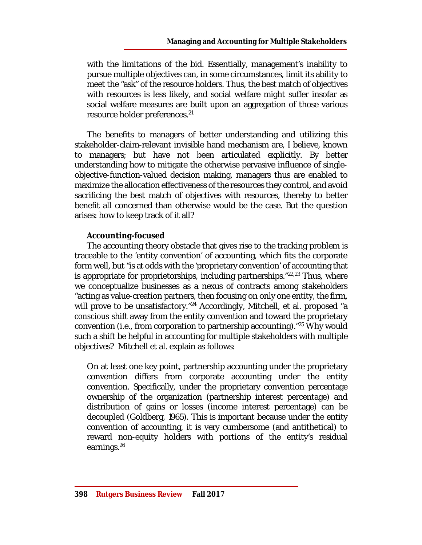with the limitations of the bid. Essentially, management's inability to pursue multiple objectives can, in some circumstances, limit its ability to meet the "ask" of the resource holders. Thus, the best match of objectives with resources is less likely, and social welfare might suffer insofar as social welfare measures are built upon an aggregation of those various resource holder preferences.<sup>21</sup>

The benefits to managers of better understanding and utilizing this stakeholder-claim-relevant invisible hand mechanism are, I believe, known to managers; but have not been articulated explicitly. By better understanding how to mitigate the otherwise pervasive influence of singleobjective-function-valued decision making, managers thus are enabled to maximize the allocation effectiveness of the resources they control, and avoid sacrificing the best match of objectives with resources, thereby to better benefit all concerned than otherwise would be the case. But the question arises: how to keep track of it all?

## **Accounting-focused**

The accounting theory obstacle that gives rise to the tracking problem is traceable to the 'entity convention' of accounting, which fits the corporate form well, but "is at odds with the 'proprietary convention' of accounting that is appropriate for proprietorships, including partnerships." $22,23$  Thus, where we conceptualize businesses as a nexus of contracts among stakeholders "acting as value-creation partners, then focusing on only one entity, the firm, will prove to be unsatisfactory."<sup>24</sup> Accordingly, Mitchell, et al. proposed "a *conscious* shift away from the entity convention and toward the proprietary convention (i.e., from corporation to partnership accounting)."<sup>25</sup> Why would such a shift be helpful in accounting for multiple stakeholders with multiple objectives? Mitchell et al. explain as follows:

On at least one key point, partnership accounting under the proprietary convention differs from corporate accounting under the entity convention. Specifically, under the proprietary convention percentage ownership of the organization (partnership interest percentage) and distribution of gains or losses (income interest percentage) can be decoupled (Goldberg, 1965). This is important because under the entity convention of accounting, it is very cumbersome (and antithetical) to reward non-equity holders with portions of the entity's residual earnings.26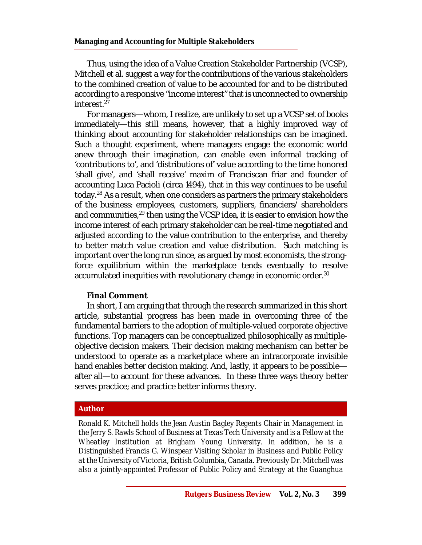Thus, using the idea of a Value Creation Stakeholder Partnership (VCSP), Mitchell et al. suggest a way for the contributions of the various stakeholders to the combined creation of value to be accounted for and to be distributed according to a responsive "income interest" that is unconnected to ownership interest.<sup>27</sup>

For managers—whom, I realize, are unlikely to set up a VCSP set of books immediately—this still means, however, that a highly improved way of thinking about accounting for stakeholder relationships can be imagined. Such a thought experiment, where managers engage the economic world anew through their imagination, can enable even informal tracking of 'contributions to', and 'distributions of' value according to the time honored 'shall give', and 'shall receive' maxim of Franciscan friar and founder of accounting Luca Pacioli (circa 1494), that in this way continues to be useful today.<sup>28</sup> As a result, when one considers as partners the primary stakeholders of the business: employees, customers, suppliers, financiers/ shareholders and communities,  $29$  then using the VCSP idea, it is easier to envision how the income interest of each primary stakeholder can be real-time negotiated and adjusted according to the value contribution to the enterprise, and thereby to better match value creation and value distribution. Such matching is important over the long run since, as argued by most economists, the strongforce equilibrium within the marketplace tends eventually to resolve accumulated inequities with revolutionary change in economic order.<sup>30</sup>

#### **Final Comment**

In short, I am arguing that through the research summarized in this short article, substantial progress has been made in overcoming three of the fundamental barriers to the adoption of multiple-valued corporate objective functions. Top managers can be conceptualized philosophically as multipleobjective decision makers. Their decision making mechanism can better be understood to operate as a marketplace where an intracorporate invisible hand enables better decision making. And, lastly, it appears to be possible after all—to account for these advances. In these three ways theory better serves practice; and practice better informs theory.

#### **Author**

*Ronald K. Mitchell holds the Jean Austin Bagley Regents Chair in Management in the Jerry S. Rawls School of Business at Texas Tech University and is a Fellow at the Wheatley Institution at Brigham Young University. In addition, he is a Distinguished Francis G. Winspear Visiting Scholar in Business and Public Policy at the University of Victoria, British Columbia, Canada. Previously Dr. Mitchell was also a jointly-appointed Professor of Public Policy and Strategy at the Guanghua*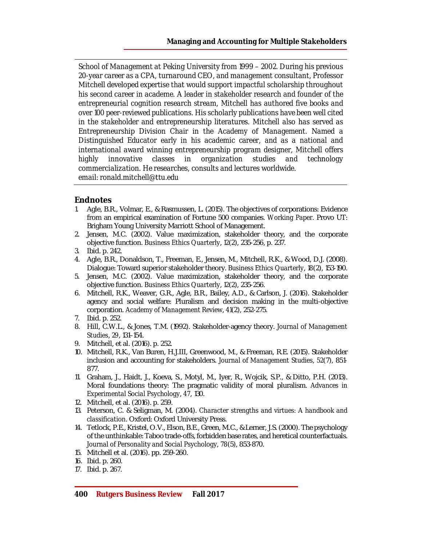*School of Management at Peking University from 1999 – 2002. During his previous 20-year career as a CPA, turnaround CEO, and management consultant, Professor Mitchell developed expertise that would support impactful scholarship throughout his second career in academe. A leader in stakeholder research and founder of the entrepreneurial cognition research stream, Mitchell has authored five books and over 100 peer-reviewed publications. His scholarly publications have been well cited in the stakeholder and entrepreneurship literatures. Mitchell also has served as Entrepreneurship Division Chair in the Academy of Management. Named a Distinguished Educator early in his academic career, and as a national and international award winning entrepreneurship program designer, Mitchell offers highly innovative classes in organization studies and technology commercialization. He researches, consults and lectures worldwide. email: [ronald.mitchell@ttu.edu](mailto:ronald.mitchell@ttu.edu)*

#### **Endnotes**

- 1. Agle, B.R., Volmar, E., & Rasmussen, L. (2015). The objectives of corporations: Evidence from an empirical examination of Fortune 500 companies. *Working Paper*. Provo UT: Brigham Young University Marriott School of Management.
- 2. Jensen, M.C. (2002). Value maximization, stakeholder theory, and the corporate objective function. *Business Ethics Quarterly*, *12*(2), 235-256, p. 237.
- 3. Ibid. p. 242.
- 4. Agle, B.R., Donaldson, T., Freeman, E., Jensen, M., Mitchell, R.K., & Wood, D.J. (2008). Dialogue: Toward superior stakeholder theory. *Business Ethics Quarterly*, *18*(2), 153-190.
- 5. Jensen, M.C. (2002). Value maximization, stakeholder theory, and the corporate objective function. *Business Ethics Quarterly*, *12*(2), 235-256.
- 6. Mitchell, R.K., Weaver, G.R., Agle, B.R., Bailey, A.D., & Carlson, J. (2016). Stakeholder agency and social welfare: Pluralism and decision making in the multi-objective corporation. *Academy of Management Review*, *41*(2), 252-275.
- 7. Ibid. p. 252.
- 8. Hill, C.W.L., & Jones, T.M. (1992). Stakeholder-agency theory. *Journal of Management Studies*, *29*, 131–154.
- 9. Mitchell, et al. (2016). p. 252.
- 10. Mitchell, R.K., Van Buren, H.J.III, Greenwood, M., & Freeman, R.E. (2015). Stakeholder inclusion and accounting for stakeholders. *Journal of Management Studies*, *52*(7), 851- 877.
- 11. Graham, J., Haidt, J., Koeva, S., Motyl, M., Iyer, R., Wojcik, S.P., & Ditto, P.H. (2013). Moral foundations theory: The pragmatic validity of moral pluralism. *Advances in Experimental Social Psychology*, *47*, 130.
- 12. Mitchell, et al. (2016). p. 259.
- 13. Peterson, C. & Seligman, M. (2004). *Character strengths and virtues: A handbook and classification*. Oxford: Oxford University Press.
- 14. Tetlock, P.E., Kristel, O.V., Elson, B.E., Green, M.C., & Lerner, J.S. (2000). The psychology of the unthinkable: Taboo trade-offs, forbidden base rates, and heretical counterfactuals. *Journal of Personality and Social Psychology*, *78*(5), 853-870.
- 15. Mitchell et al. (2016). pp. 259-260.

17. Ibid. p. 267.

<sup>16.</sup> Ibid. p. 260.